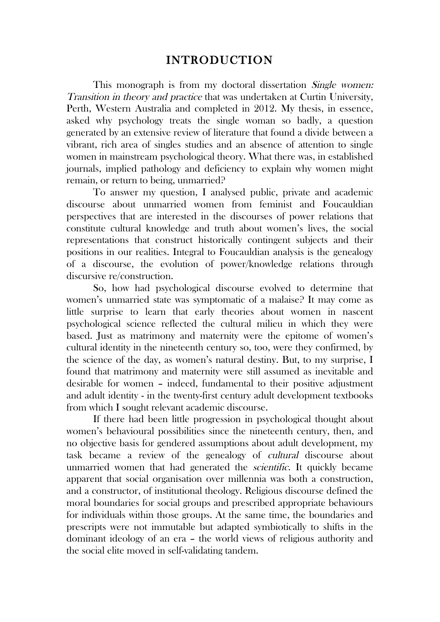## INTRODUCTION

This monograph is from my doctoral dissertation *Single women:* Transition in theory and practice that was undertaken at Curtin University, Perth, Western Australia and completed in 2012. My thesis, in essence, asked why psychology treats the single woman so badly, a question generated by an extensive review of literature that found a divide between a vibrant, rich area of singles studies and an absence of attention to single women in mainstream psychological theory. What there was, in established journals, implied pathology and deficiency to explain why women might remain, or return to being, unmarried?

To answer my question, I analysed public, private and academic discourse about unmarried women from feminist and Foucauldian perspectives that are interested in the discourses of power relations that constitute cultural knowledge and truth about women's lives, the social representations that construct historically contingent subjects and their positions in our realities. Integral to Foucauldian analysis is the genealogy of a discourse, the evolution of power/knowledge relations through discursive re/construction.

So, how had psychological discourse evolved to determine that women's unmarried state was symptomatic of a malaise? It may come as little surprise to learn that early theories about women in nascent psychological science reflected the cultural milieu in which they were based. Just as matrimony and maternity were the epitome of women's cultural identity in the nineteenth century so, too, were they confirmed, by the science of the day, as women's natural destiny. But, to my surprise, I found that matrimony and maternity were still assumed as inevitable and desirable for women – indeed, fundamental to their positive adjustment and adult identity - in the twenty-first century adult development textbooks from which I sought relevant academic discourse.

If there had been little progression in psychological thought about women's behavioural possibilities since the nineteenth century, then, and no objective basis for gendered assumptions about adult development, my task became a review of the genealogy of cultural discourse about unmarried women that had generated the scientific. It quickly became apparent that social organisation over millennia was both a construction, and a constructor, of institutional theology. Religious discourse defined the moral boundaries for social groups and prescribed appropriate behaviours for individuals within those groups. At the same time, the boundaries and prescripts were not immutable but adapted symbiotically to shifts in the dominant ideology of an era – the world views of religious authority and the social elite moved in self-validating tandem.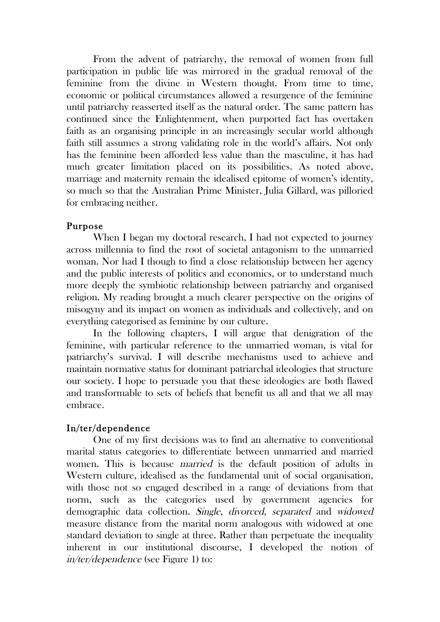From the advent of patriarchy, the removal of women from full participation in public life was mirrored in the gradual removal of the feminine from the divine in Western thought. From time to time, economic or political circumstances allowed a resurgence of the feminine until patriarchy reasserted itself as the natural order. The same pattern has continued since the Enlightenment, when purported fact has overtaken faith as an organising principle in an increasingly secular world although faith still assumes a strong validating role in the world's affairs. Not only has the feminine been afforded less value than the masculine, it has had much greater limitation placed on its possibilities. As noted above, marriage and maternity remain the idealised epitome of women's identity, so much so that the Australian Prime Minister, Julia Gillard, was pilloried for embracing neither.

## Purpose

When I began my doctoral research, I had not expected to journey across millennia to find the root of societal antagonism to the unmarried woman. Nor had I though to find a close relationship between her agency and the public interests of politics and economics, or to understand much more deeply the symbiotic relationship between patriarchy and organised religion. My reading brought a much clearer perspective on the origins of misogyny and its impact on women as individuals and collectively, and on everything categorised as feminine by our culture.

In the following chapters, I will argue that denigration of the feminine, with particular reference to the unmarried woman, is vital for patriarchy's survival. I will describe mechanisms used to achieve and maintain normative status for dominant patriarchal ideologies that structure our society. I hope to persuade you that these ideologies are both flawed and transformable to sets of beliefs that benefit us all and that we all may embrace.

## In/ter/dependence

One of my first decisions was to find an alternative to conventional marital status categories to differentiate between unmarried and married women. This is because married is the default position of adults in Western culture, idealised as the fundamental unit of social organisation, with those not so engaged described in a range of deviations from that norm, such as the categories used by government agencies for demographic data collection. Single, divorced, separated and widowed measure distance from the marital norm analogous with widowed at one standard deviation to single at three. Rather than perpetuate the inequality inherent in our institutional discourse, I developed the notion of in/ter/dependence (see Figure 1) to: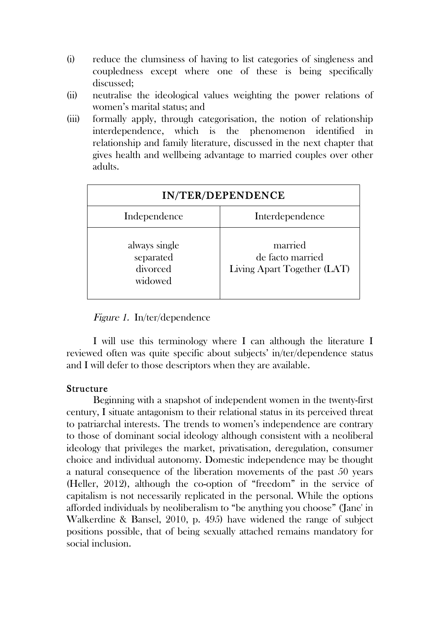- (i) reduce the clumsiness of having to list categories of singleness and coupledness except where one of these is being specifically discussed;
- (ii) neutralise the ideological values weighting the power relations of women's marital status; and
- (iii) formally apply, through categorisation, the notion of relationship interdependence, which is the phenomenon identified in relationship and family literature, discussed in the next chapter that gives health and wellbeing advantage to married couples over other adults.

| IN/TER/DEPENDENCE                                 |                                                            |
|---------------------------------------------------|------------------------------------------------------------|
| Independence                                      | Interdependence                                            |
| always single<br>separated<br>divorced<br>widowed | married<br>de facto married<br>Living Apart Together (LAT) |

Figure 1. In/ter/dependence

I will use this terminology where I can although the literature I reviewed often was quite specific about subjects' in/ter/dependence status and I will defer to those descriptors when they are available.

## Structure

Beginning with a snapshot of independent women in the twenty-first century, I situate antagonism to their relational status in its perceived threat to patriarchal interests. The trends to women's independence are contrary to those of dominant social ideology although consistent with a neoliberal ideology that privileges the market, privatisation, deregulation, consumer choice and individual autonomy. Domestic independence may be thought a natural consequence of the liberation movements of the past 50 years (Heller, 2012), although the co-option of "freedom" in the service of capitalism is not necessarily replicated in the personal. While the options afforded individuals by neoliberalism to "be anything you choose" ('Jane' in Walkerdine & Bansel, 2010, p. 495) have widened the range of subject positions possible, that of being sexually attached remains mandatory for social inclusion.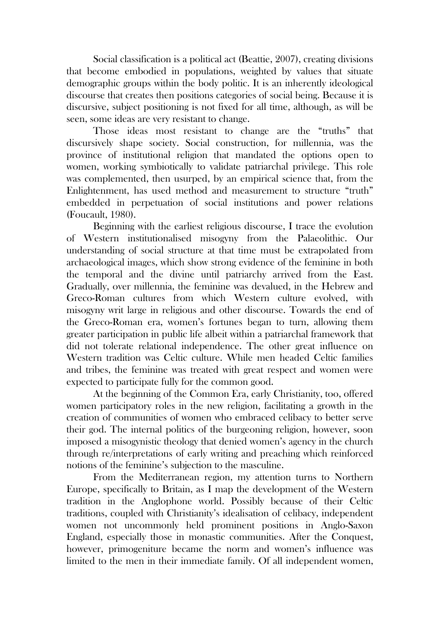Social classification is a political act (Beattie, 2007), creating divisions that become embodied in populations, weighted by values that situate demographic groups within the body politic. It is an inherently ideological discourse that creates then positions categories of social being. Because it is discursive, subject positioning is not fixed for all time, although, as will be seen, some ideas are very resistant to change.

Those ideas most resistant to change are the "truths" that discursively shape society. Social construction, for millennia, was the province of institutional religion that mandated the options open to women, working symbiotically to validate patriarchal privilege. This role was complemented, then usurped, by an empirical science that, from the Enlightenment, has used method and measurement to structure "truth" embedded in perpetuation of social institutions and power relations (Foucault, 1980).

Beginning with the earliest religious discourse, I trace the evolution of Western institutionalised misogyny from the Palaeolithic. Our understanding of social structure at that time must be extrapolated from archaeological images, which show strong evidence of the feminine in both the temporal and the divine until patriarchy arrived from the East. Gradually, over millennia, the feminine was devalued, in the Hebrew and Greco-Roman cultures from which Western culture evolved, with misogyny writ large in religious and other discourse. Towards the end of the Greco-Roman era, women's fortunes began to turn, allowing them greater participation in public life albeit within a patriarchal framework that did not tolerate relational independence. The other great influence on Western tradition was Celtic culture. While men headed Celtic families and tribes, the feminine was treated with great respect and women were expected to participate fully for the common good.

At the beginning of the Common Era, early Christianity, too, offered women participatory roles in the new religion, facilitating a growth in the creation of communities of women who embraced celibacy to better serve their god. The internal politics of the burgeoning religion, however, soon imposed a misogynistic theology that denied women's agency in the church through re/interpretations of early writing and preaching which reinforced notions of the feminine's subjection to the masculine.

From the Mediterranean region, my attention turns to Northern Europe, specifically to Britain, as I map the development of the Western tradition in the Anglophone world. Possibly because of their Celtic traditions, coupled with Christianity's idealisation of celibacy, independent women not uncommonly held prominent positions in Anglo-Saxon England, especially those in monastic communities. After the Conquest, however, primogeniture became the norm and women's influence was limited to the men in their immediate family. Of all independent women,